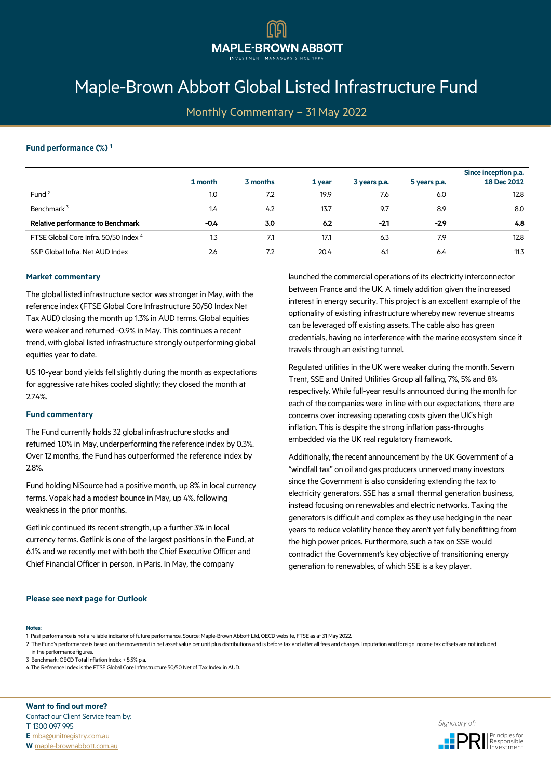# [Maple-Brown Abbott Global Listed Infrastructure Fund](https://www.maple-brownabbott.com.au/)

**MAPLE-BROWN ABBOTT** 

Monthly Commentary – 31 May 2022

## **Fund performance (%) <sup>1</sup>**

|                                       | 1 month          | 3 months | 1 year | 3 years p.a. | 5 years p.a. | Since inception p.a.<br>18 Dec 2012 |
|---------------------------------------|------------------|----------|--------|--------------|--------------|-------------------------------------|
| Fund <sup>2</sup>                     | 1.0              | 7.2      | 19.9   | 7.6          | 6.0          | 12.8                                |
| Benchmark <sup>3</sup>                | 1.4              | 4.2      | 13.7   | 9.7          | 8.9          | 8.0                                 |
| Relative performance to Benchmark     | $-0.4$           | 3.0      | 6.2    | $-21$        | $-2.9$       | 4.8                                 |
| FTSE Global Core Infra. 50/50 Index 4 | $1.3\phantom{0}$ | 7.1      | 17.1   | 6.3          | 7.9          | 12.8                                |
| S&P Global Infra. Net AUD Index       | 2.6              | 7.2      | 20.4   | 6.1          | 6.4          | 11.3                                |

## **Market commentary**

The global listed infrastructure sector was stronger in May, with the reference index (FTSE Global Core Infrastructure 50/50 Index Net Tax AUD) closing the month up 1.3% in AUD terms. Global equities were weaker and returned -0.9% in May. This continues a recent trend, with global listed infrastructure strongly outperforming global equities year to date.

US 10-year bond yields fell slightly during the month as expectations for aggressive rate hikes cooled slightly; they closed the month at 2.74%.

## **Fund commentary**

The Fund currently holds 32 global infrastructure stocks and returned 1.0% in May, underperforming the reference index by 0.3%. Over 12 months, the Fund has outperformed the reference index by 2.8%.

Fund holding NiSource had a positive month, up 8% in local currency terms. Vopak had a modest bounce in May, up 4%, following weakness in the prior months.

Getlink continued its recent strength, up a further 3% in local currency terms. Getlink is one of the largest positions in the Fund, at 6.1% and we recently met with both the Chief Executive Officer and Chief Financial Officer in person, in Paris. In May, the company

launched the commercial operations of its electricity interconnector between France and the UK. A timely addition given the increased interest in energy security. This project is an excellent example of the optionality of existing infrastructure whereby new revenue streams can be leveraged off existing assets. The cable also has green credentials, having no interference with the marine ecosystem since it travels through an existing tunnel.

Regulated utilities in the UK were weaker during the month. Severn Trent, SSE and United Utilities Group all falling, 7%, 5% and 8% respectively. While full-year results announced during the month for each of the companies were in line with our expectations, there are concerns over increasing operating costs given the UK's high inflation. This is despite the strong inflation pass-throughs embedded via the UK real regulatory framework.

Additionally, the recent announcement by the UK Government of a "windfall tax" on oil and gas producers unnerved many investors since the Government is also considering extending the tax to electricity generators. SSE has a small thermal generation business, instead focusing on renewables and electric networks. Taxing the generators is difficult and complex as they use hedging in the near years to reduce volatility hence they aren't yet fully benefitting from the high power prices. Furthermore, such a tax on SSE would contradict the Government's key objective of transitioning energy generation to renewables, of which SSE is a key player.

### **Please see next page for Outlook**

#### **Notes**:

1 Past performance is not a reliable indicator of future performance. Source: Maple-Brown Abbott Ltd, OECD website, FTSE as at 31 May 2022.

2 The Fund's performance is based on the movement in net asset value per unit plus distributions and is before tax and after all fees and charges. Imputation and foreign income tax offsets are not included in the performance figures.

3 Benchmark: OECD Total Inflation Index + 5.5% p.a.

4 The Reference Index is the FTSE Global Core Infrastructure 50/50 Net of Tax Index in AUD.

**Want to find out more?** Contact our Client Service team by: **T** 1300 097 995 **E** [mba@unitregistry.com.au](mailto:mba@unitregistry.com.au) **E** mba@unitregistry.com.au **and the control of the control of the control of the control of the control of the control of the control of the control of the control of the control of the control of the control of the contr**